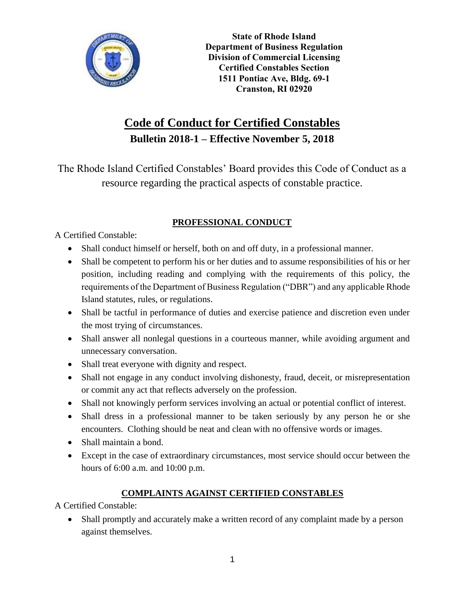

**State of Rhode Island Department of Business Regulation Division of Commercial Licensing Certified Constables Section 1511 Pontiac Ave, Bldg. 69-1 Cranston, RI 02920**

# **Code of Conduct for Certified Constables Bulletin 2018-1 – Effective November 5, 2018**

The Rhode Island Certified Constables' Board provides this Code of Conduct as a resource regarding the practical aspects of constable practice.

# **PROFESSIONAL CONDUCT**

A Certified Constable:

- Shall conduct himself or herself, both on and off duty, in a professional manner.
- Shall be competent to perform his or her duties and to assume responsibilities of his or her position, including reading and complying with the requirements of this policy, the requirements of the Department of Business Regulation ("DBR") and any applicable Rhode Island statutes, rules, or regulations.
- Shall be tactful in performance of duties and exercise patience and discretion even under the most trying of circumstances.
- Shall answer all nonlegal questions in a courteous manner, while avoiding argument and unnecessary conversation.
- Shall treat everyone with dignity and respect.
- Shall not engage in any conduct involving dishonesty, fraud, deceit, or misrepresentation or commit any act that reflects adversely on the profession.
- Shall not knowingly perform services involving an actual or potential conflict of interest.
- Shall dress in a professional manner to be taken seriously by any person he or she encounters. Clothing should be neat and clean with no offensive words or images.
- Shall maintain a bond.
- Except in the case of extraordinary circumstances, most service should occur between the hours of 6:00 a.m. and 10:00 p.m.

## **COMPLAINTS AGAINST CERTIFIED CONSTABLES**

A Certified Constable:

• Shall promptly and accurately make a written record of any complaint made by a person against themselves.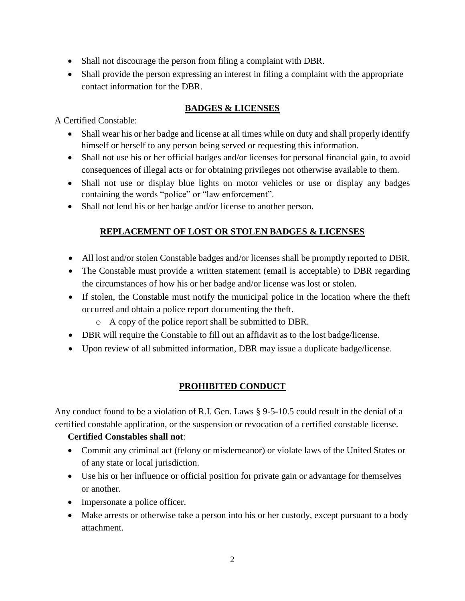- Shall not discourage the person from filing a complaint with DBR.
- Shall provide the person expressing an interest in filing a complaint with the appropriate contact information for the DBR.

## **BADGES & LICENSES**

A Certified Constable:

- Shall wear his or her badge and license at all times while on duty and shall properly identify himself or herself to any person being served or requesting this information.
- Shall not use his or her official badges and/or licenses for personal financial gain, to avoid consequences of illegal acts or for obtaining privileges not otherwise available to them.
- Shall not use or display blue lights on motor vehicles or use or display any badges containing the words "police" or "law enforcement".
- Shall not lend his or her badge and/or license to another person.

## **REPLACEMENT OF LOST OR STOLEN BADGES & LICENSES**

- All lost and/or stolen Constable badges and/or licenses shall be promptly reported to DBR.
- The Constable must provide a written statement (email is acceptable) to DBR regarding the circumstances of how his or her badge and/or license was lost or stolen.
- If stolen, the Constable must notify the municipal police in the location where the theft occurred and obtain a police report documenting the theft.
	- o A copy of the police report shall be submitted to DBR.
- DBR will require the Constable to fill out an affidavit as to the lost badge/license.
- Upon review of all submitted information, DBR may issue a duplicate badge/license.

#### **PROHIBITED CONDUCT**

Any conduct found to be a violation of R.I. Gen. Laws § 9-5-10.5 could result in the denial of a certified constable application, or the suspension or revocation of a certified constable license.

#### **Certified Constables shall not**:

- Commit any criminal act (felony or misdemeanor) or violate laws of the United States or of any state or local jurisdiction.
- Use his or her influence or official position for private gain or advantage for themselves or another.
- Impersonate a police officer.
- Make arrests or otherwise take a person into his or her custody, except pursuant to a body attachment.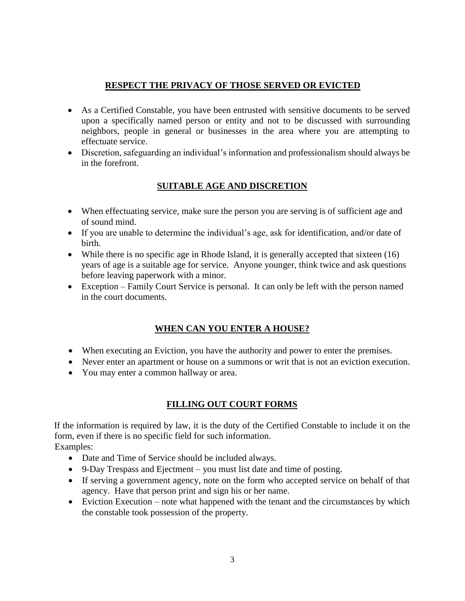#### **RESPECT THE PRIVACY OF THOSE SERVED OR EVICTED**

- As a Certified Constable, you have been entrusted with sensitive documents to be served upon a specifically named person or entity and not to be discussed with surrounding neighbors, people in general or businesses in the area where you are attempting to effectuate service.
- Discretion, safeguarding an individual's information and professionalism should always be in the forefront.

#### **SUITABLE AGE AND DISCRETION**

- When effectuating service, make sure the person you are serving is of sufficient age and of sound mind.
- If you are unable to determine the individual's age, ask for identification, and/or date of birth.
- While there is no specific age in Rhode Island, it is generally accepted that sixteen (16) years of age is a suitable age for service. Anyone younger, think twice and ask questions before leaving paperwork with a minor.
- Exception Family Court Service is personal. It can only be left with the person named in the court documents.

#### **WHEN CAN YOU ENTER A HOUSE?**

- When executing an Eviction, you have the authority and power to enter the premises.
- Never enter an apartment or house on a summons or writ that is not an eviction execution.
- You may enter a common hallway or area.

#### **FILLING OUT COURT FORMS**

If the information is required by law, it is the duty of the Certified Constable to include it on the form, even if there is no specific field for such information. Examples:

- Date and Time of Service should be included always.
- 9-Day Trespass and Ejectment you must list date and time of posting.
- If serving a government agency, note on the form who accepted service on behalf of that agency. Have that person print and sign his or her name.
- Eviction Execution note what happened with the tenant and the circumstances by which the constable took possession of the property.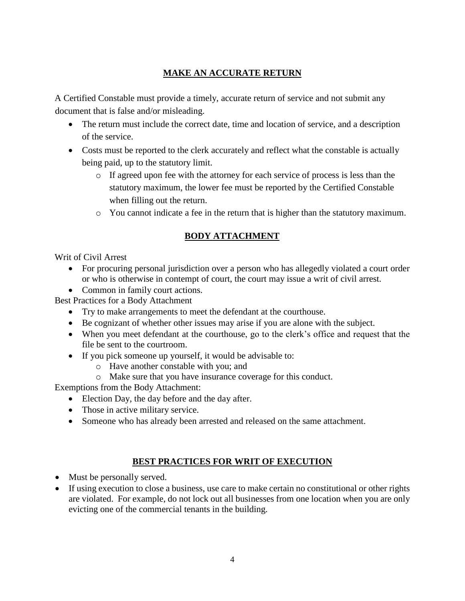## **MAKE AN ACCURATE RETURN**

A Certified Constable must provide a timely, accurate return of service and not submit any document that is false and/or misleading.

- The return must include the correct date, time and location of service, and a description of the service.
- Costs must be reported to the clerk accurately and reflect what the constable is actually being paid, up to the statutory limit.
	- o If agreed upon fee with the attorney for each service of process is less than the statutory maximum, the lower fee must be reported by the Certified Constable when filling out the return.
	- o You cannot indicate a fee in the return that is higher than the statutory maximum.

## **BODY ATTACHMENT**

Writ of Civil Arrest

- For procuring personal jurisdiction over a person who has allegedly violated a court order or who is otherwise in contempt of court, the court may issue a writ of civil arrest.
- Common in family court actions.

Best Practices for a Body Attachment

- Try to make arrangements to meet the defendant at the courthouse.
- Be cognizant of whether other issues may arise if you are alone with the subject.
- When you meet defendant at the courthouse, go to the clerk's office and request that the file be sent to the courtroom.
- If you pick someone up yourself, it would be advisable to:
	- o Have another constable with you; and
	- o Make sure that you have insurance coverage for this conduct.

Exemptions from the Body Attachment:

- Election Day, the day before and the day after.
- Those in active military service.
- Someone who has already been arrested and released on the same attachment.

#### **BEST PRACTICES FOR WRIT OF EXECUTION**

- Must be personally served.
- If using execution to close a business, use care to make certain no constitutional or other rights are violated. For example, do not lock out all businesses from one location when you are only evicting one of the commercial tenants in the building.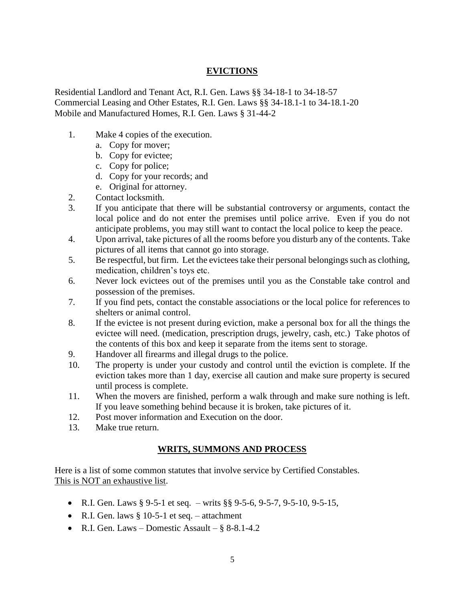#### **EVICTIONS**

Residential Landlord and Tenant Act, R.I. Gen. Laws §§ 34-18-1 to 34-18-57 Commercial Leasing and Other Estates, R.I. Gen. Laws §§ 34-18.1-1 to 34-18.1-20 Mobile and Manufactured Homes, R.I. Gen. Laws § 31-44-2

- 1. Make 4 copies of the execution.
	- a. Copy for mover;
	- b. Copy for evictee;
	- c. Copy for police;
	- d. Copy for your records; and
	- e. Original for attorney.
- 2. Contact locksmith.
- 3. If you anticipate that there will be substantial controversy or arguments, contact the local police and do not enter the premises until police arrive. Even if you do not anticipate problems, you may still want to contact the local police to keep the peace.
- 4. Upon arrival, take pictures of all the rooms before you disturb any of the contents. Take pictures of all items that cannot go into storage.
- 5. Be respectful, but firm. Let the evictees take their personal belongings such as clothing, medication, children's toys etc.
- 6. Never lock evictees out of the premises until you as the Constable take control and possession of the premises.
- 7. If you find pets, contact the constable associations or the local police for references to shelters or animal control.
- 8. If the evictee is not present during eviction, make a personal box for all the things the evictee will need. (medication, prescription drugs, jewelry, cash, etc.) Take photos of the contents of this box and keep it separate from the items sent to storage.
- 9. Handover all firearms and illegal drugs to the police.
- 10. The property is under your custody and control until the eviction is complete. If the eviction takes more than 1 day, exercise all caution and make sure property is secured until process is complete.
- 11. When the movers are finished, perform a walk through and make sure nothing is left. If you leave something behind because it is broken, take pictures of it.
- 12. Post mover information and Execution on the door.
- 13. Make true return.

#### **WRITS, SUMMONS AND PROCESS**

Here is a list of some common statutes that involve service by Certified Constables. This is NOT an exhaustive list.

- R.I. Gen. Laws § 9-5-1 et seq. writs §§ 9-5-6, 9-5-7, 9-5-10, 9-5-15,
- R.I. Gen. laws  $\S 10-5-1$  et seq. attachment
- R.I. Gen. Laws Domestic Assault § 8-8.1-4.2